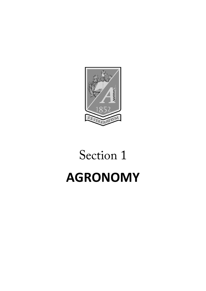

# Section 1 **AGRONOMY**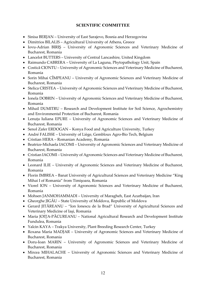## **SCIENTIFIC COMMITTEE**

- Sinisa BERJAN University of East Sarajevo, Bosnia and Herzegovina
- Dimitrios BILALIS Agricultural University of Athens, Greece
- Iovu-Adrian BIRIŞ University of Agronomic Sciences and Veterinary Medicine of Bucharest, Romania
- Lancelot BUTTERS University of Central Lancashire, United Kingdom
- Raimundo CABRERA University of La Laguna, Phytopathology Unit, Spain
- Costică CIONTU University of Agronomic Sciences and Veterinary Medicine of Bucharest, Romania
- Sorin Mihai CÎMPEANU University of Agronomic Sciences and Veterinary Medicine of Bucharest, Romania
- Stelica CRISTEA University of Agronomic Sciences and Veterinary Medicine of Bucharest, Romania
- Ionela DOBRIN University of Agronomic Sciences and Veterinary Medicine of Bucharest, Romania
- Mihail DUMITRU Research and Development Institute for Soil Science, Agrochemistry and Environmental Protection of Bucharest, Romania
- Lenuța Iuliana EPURE University of Agronomic Sciences and Veterinary Medicine of Bucharest, Romania
- Senol Zafer ERDOGAN Konya Food and Agriculture University, Turkey
- André FALISSE University of Liège, Gembloux Agro-Bio Tech, Belgium
- Cristian HERA Romanian Academy, Romania
- Beatrice-Michaela IACOMI University of Agronomic Sciences and Veterinary Medicine of Bucharest, Romania
- Cristian IACOMI University of Agronomic Sciences and Veterinary Medicine of Bucharest, Romania
- Leonard ILIE University of Agronomic Sciences and Veterinary Medicine of Bucharest, Romania
- Florin IMBREA Banat University of Agricultural Sciences and Veterinary Medicine "King Mihai I of Romania" from Timişoara, Romania
- Viorel ION University of Agronomic Sciences and Veterinary Medicine of Bucharest, Romania
- Mohsen JANMOHAMMADI University of Maragheh, East Azarbaijan, Iran
- Gheorghe JIGĂU State University of Moldova, Republic of Moldova
- Gerard JITĂREANU "Ion Ionescu de la Brad" University of Agricultural Sciences and Veterinary Medicine of Iaşi, Romania
- Maria JOIȚA-PĂCUREANU National Agricultural Research and Development Institute Fundulea, Romania
- Yalcin KAYA Trakya University, Plant Breeding Research Center, Turkey
- Roxana Maria MADJAR University of Agronomic Sciences and Veterinary Medicine of Bucharest, Romania
- Doru-Ioan MARIN University of Agronomic Sciences and Veterinary Medicine of Bucharest, Romania
- Mircea MIHALACHE University of Agronomic Sciences and Veterinary Medicine of Bucharest, Romania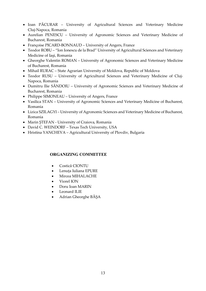- Ioan PĂCURAR University of Agricultural Sciences and Veterinary Medicine Cluj-Napoca, Romania
- Aurelian PENESCU University of Agronomic Sciences and Veterinary Medicine of Bucharest, Romania
- Françoise PICARD-BONNAUD University of Angers, France
- Teodor ROBU "Ion Ionescu de la Brad" University of Agricultural Sciences and Veterinary Medicine of Iaşi, Romania
- Gheorghe Valentin ROMAN University of Agronomic Sciences and Veterinary Medicine of Bucharest, Romania
- Mihail RURAC State Agrarian University of Moldova, Republic of Moldova
- Teodor RUSU University of Agricultural Sciences and Veterinary Medicine of Cluj-Napoca, Romania
- Dumitru Ilie SĂNDOIU University of Agronomic Sciences and Veterinary Medicine of Bucharest, Romania
- Philippe SIMONEAU University of Angers, France
- Vasilica STAN University of Agronomic Sciences and Veterinary Medicine of Bucharest, Romania
- Lizica SZILAGYI University of Agronomic Sciences and Veterinary Medicine of Bucharest, Romania
- Marin ŞTEFAN University of Craiova, Romania
- David C. WEINDORF Texas Tech University, USA
- Hristina YANCHEVA Agricultural University of Plovdiv, Bulgaria

### **ORGANIZING COMMITTEE**

- Costică CIONTU
- Lenuța Iuliana EPURE
- Mircea MIHALACHE
- Viorel ION
- Doru Ioan MARIN
- Leonard ILIE
- Adrian Gheorghe BĂȘA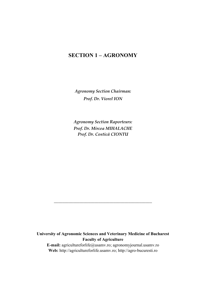# **SECTION 1 – AGRONOMY**

*Agronomy Section Chairman: Prof. Dr. Viorel ION*

*Agronomy Section Raporteurs: Prof. Dr. Mircea MIHALACHE Prof. Dr. Costică CIONTU*

## **University of Agronomic Sciences and Veterinary Medicine of Bucharest Faculty of Agriculture**

*\_\_\_\_\_\_\_\_\_\_\_\_\_\_\_\_\_\_\_\_\_\_\_\_\_\_\_\_\_\_\_\_\_\_\_\_\_\_\_\_\_\_\_\_\_\_*

**E-mail:** [agricultureforlife@usamv.ro;](mailto:agricultureforlife@usamv.ro) agronomyjournal.usamv.ro **Web:** [http://agricultureforlife.usamv.ro;](http://agricultureforlife.usamv.ro/) http://agro-bucuresti.ro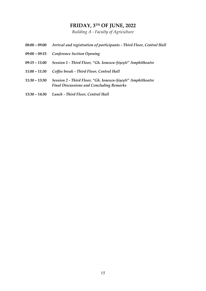# **FRIDAY, 3TH OF JUNE, 2022**

*Building A - Faculty of Agriculture*

| $08:00 - 09:00$ | Arrival and registration of participants - Third Floor, Central Hall                                           |
|-----------------|----------------------------------------------------------------------------------------------------------------|
| $09:00 - 09:15$ | <b>Conference Section Opening</b>                                                                              |
| $09:15 - 11:00$ | Session 1 - Third Floor, "Gh. Ionescu-Sișești" Amphitheatre                                                    |
| $11:00 - 11:30$ | Coffee break - Third Floor, Central Hall                                                                       |
| $11:30 - 13:30$ | Session 2 - Third Floor, "Gh. Ionescu-Șișești" Amphitheatre<br><b>Final Discussions and Concluding Remarks</b> |
| $13:30 - 14:30$ | Lunch - Third Floor, Central Hall                                                                              |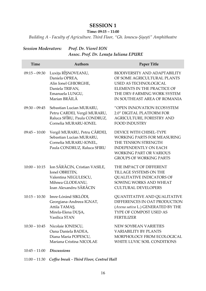# **SESSION 1**

**Time: 09:15 – 11:00**

*Building A - Faculty of Agriculture. Third Floor, "Gh. Ionescu-Șișești" Amphitheatre*

## *Session Moderators: Prof. Dr. Viorel ION Assoc. Prof. Dr. Lenuța Iuliana EPURE*

| Time            | <b>Authors</b>                                                                                                        | <b>Paper Title</b>                                                                                                                                                                                |
|-----------------|-----------------------------------------------------------------------------------------------------------------------|---------------------------------------------------------------------------------------------------------------------------------------------------------------------------------------------------|
| $09:15 - 09:30$ | Luxița RÎȘNOVEANU,<br>Daniela OPREA,<br>Alin Ionel GHIORGHE,<br>Daniela TRIFAN,<br>Emanuela LUNGU,<br>Marian BRĂILĂ   | <b>BIODIVERSITY AND ADAPTABILITY</b><br>OF SOME AGRICULTURAL PLANTS<br><b>USED AS TECHNOLOGICAL</b><br>ELEMENTS IN THE PRACTICE OF<br>THE DRY-FARMING WORK SYSTEM<br>IN SOUTHEAST AREA OF ROMANIA |
| $09:30 - 09:45$ | Sebastian Lucian MURARU,<br>Petru CARDEI, Vergil MURARU,<br>Raluca SFÎRU, Paula CONDRUZ,<br>Cornelia MURARU-IONEL     | "OPEN INNOVATION ECOSYSTEM<br>2.0" DIGITAL PLATFORM FOR<br>AGRICULTURE, FORESTRY AND<br><b>FOOD INDUSTRY</b>                                                                                      |
| $09:45 - 10:00$ | Vergil MURARU, Petru CÂRDEI,<br>Sebastian Lucian MURARU,<br>Cornelia MURARU-IONEL,<br>Paula CONDRUZ, Raluca SFIRU     | DEVICE WITH CHISEL-TYPE<br><b>WORKING PARTS FOR MEASURING</b><br>THE TENSION STRENGTH<br><b>INDEPENDENTLY ON EACH</b><br><b>WORKING PART OR VARIOUS</b><br><b>GROUPS OF WORKING PARTS</b>         |
| $10:00 - 10:15$ | Ion SĂRĂCIN, Cristian VASILE,<br>Ionel OBRETIN,<br>Valentina NEGULESCU,<br>Mihnea GLODEANU,<br>Ioan Alexandru SĂRĂCIN | THE IMPACT OF DIFFERENT<br>TILLAGE SYSTEMS ON THE<br><b>QUALITATIVE INDICATORS OF</b><br>SOWING WORKS AND WHEAT<br><b>CULTURAL DEVELOPERS</b>                                                     |
| $10:15 - 10:30$ | Imre-Lóránd SIKLÓDI,<br>Georgiana-Andreea IGNAT,<br>Attila TAMAŞ,<br>Mirela-Elena DUŞA,<br>Vasilica STAN              | <b>QUANTITATIVE AND QUALITATIVE</b><br>DIFFERENCES IN OAT PRODUCTION<br>(Avena sativa L.) GENERATED BY THE<br>TYPE OF COMPOST USED AS<br><b>FERTILIZER</b>                                        |
| $10:30 - 10:45$ | Nicolaie IONESCU,<br>Oana Daniela BADEA,<br>Diana Maria POPESCU,<br>Mariana Cristina NICOLAE                          | <b>NEW SOYBEAN VARIETIES</b><br><b>VARIABILITY BY PLANTS</b><br>MORPHOLOGY FROM ECOLOGICAL<br>WHITE LUVIC SOIL CONDITIONS                                                                         |
| $10:45 - 11:00$ | <b>Discussions</b>                                                                                                    |                                                                                                                                                                                                   |

11:00 – 11:30 *Coffee break - Third Floor, Central Hall*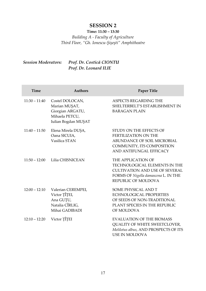# **SESSION 2**

## **Time: 11:30 – 13:30**

*Building A - Faculty of Agriculture Third Floor, "Gh. Ionescu-Șișești" Amphitheatre*

## *Session Moderators: Prof. Dr. Costică CIONTU Prof. Dr. Leonard ILIE*

| Time            | <b>Authors</b>                                                                                | Paper Title                                                                                                                                                 |
|-----------------|-----------------------------------------------------------------------------------------------|-------------------------------------------------------------------------------------------------------------------------------------------------------------|
| $11:30 - 11:40$ | Costel DOLOCAN,<br>Marian MUŞAT,<br>Giorgian ARGATU,<br>Mihaela PETCU,<br>Iulian Bogdan MUŞAT | ASPECTS REGARDING THE<br>SHELTERBELT'S ESTABLISHMENT IN<br><b>BARAGAN PLAIN</b>                                                                             |
| $11:40 - 11:50$ | Elena Mirela DUȘA,<br>Oana SICUIA,<br>Vasilica STAN                                           | STUDY ON THE EFFECTS OF<br><b>FERTILIZATION ON THE</b><br><b>ABUNDANCE OF SOIL MICROBIAL</b><br>COMMUNITY, ITS COMPOSITION<br>AND ANTIFUNGAL EFFICACY       |
|                 | 11:50 - 12:00 Lilia CHISNICEAN                                                                | THE APPLICATION OF<br>TECHNOLOGICAL ELEMENTS IN THE<br><b>CULTIVATION AND USE OF SEVERAL</b><br>FORMS OF Nigella damascena L. IN THE<br>REPUBLIC OF MOLDOVA |
| $12:00 - 12:10$ | Valerian CEREMPEI,<br>Victor TÎȚEI,<br>Ana GUȚU,<br>Natalia CÎRLIG,<br>Mihai GADIBADI         | SOME PHYSICAL AND T<br><b>ECHNOLOGICAL PROPERTIES</b><br>OF SEEDS OF NON-TRADITIONAL<br>PLANT SPECIES IN THE REPUBLIC<br>OF MOLDOVA                         |
| $12:10 - 12:20$ | Victor TÎȚEI                                                                                  | <b>EVALUATION OF THE BIOMASS</b><br>QUALITY OF WHITE SWEETCLOVER,<br>Melilotus albus, AND PROSPECTS OF ITS<br>USE IN MOLDOVA                                |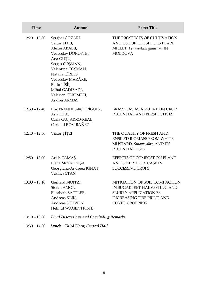| Time            | <b>Authors</b>                                                                                                                                                                                                                                | <b>Paper Title</b>                                                                                                                                        |
|-----------------|-----------------------------------------------------------------------------------------------------------------------------------------------------------------------------------------------------------------------------------------------|-----------------------------------------------------------------------------------------------------------------------------------------------------------|
| $12:20 - 12:30$ | Serghei COZARI,<br>Victor TÎȚEI,<br>Alexei ABABII,<br>Veaceslav DOROFTEI,<br>Ana GUȚU,<br>Sergiu COŞMAN,<br>Valentina COŞMAN,<br>Natalia CÎRLIG,<br>Veaceslav MAZĂRE,<br>Radu LÎSÎI,<br>Mihai GADIBADI,<br>Valerian CEREMPEI,<br>Andrei ARMAŞ | THE PROSPECTS OF CULTIVATION<br>AND USE OF THE SPECIES PEARL<br>MILLET, Pennisetum glaucum, IN<br><b>MOLDOVA</b>                                          |
| $12:30 - 12:40$ | Eric PRENDES-RODRÍGUEZ,<br>Ana FITA,<br>Carla GUIJARRO-REAL,<br>Caridad ROS IBAÑEZ                                                                                                                                                            | BRASSICAS AS A ROTATION CROP.<br>POTENTIAL AND PERSPECTIVES                                                                                               |
| $12:40 - 12:50$ | Victor TÎȚEI                                                                                                                                                                                                                                  | THE QUALITY OF FRESH AND<br><b>ENSILED BIOMASS FROM WHITE</b><br>MUSTARD, Sinapis alba, AND ITS<br>POTENTIAL USES                                         |
| $12:50 - 13:00$ | Attila TAMAŞ,<br>Elena Mirela DUŞA,<br>Georgiana-Andreea IGNAT,<br>Vasilica STAN                                                                                                                                                              | EFFECTS OF COMPOST ON PLANT<br>AND SOIL: STUDY CASE IN<br><b>SUCCESSIVE CROPS</b>                                                                         |
| $13:00 - 13:10$ | Gerhard MOITZI,<br>Stefan AMON,<br>Elisabeth SATTLER,<br>Andreas KLIK,<br>Andreas SCHWEN,<br><b>Helmut WAGENTRISTL</b>                                                                                                                        | MITIGATION OF SOIL COMPACTION<br>IN SUGARBEET HARVESTING AND<br><b>SLURRY APPLICATION BY</b><br><b>INCREASING TIRE PRINT AND</b><br><b>COVER CROPPING</b> |
| $13:10 - 13:30$ | <b>Final Discussions and Concluding Remarks</b>                                                                                                                                                                                               |                                                                                                                                                           |

13:30 – 14:30 *Lunch – Third Floor, Central Hall*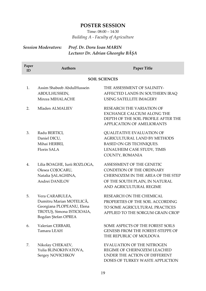# **POSTER SESSION**

Time: 08:00 – 14:30 *Building A - Faculty of Agriculture*

# *Session Moderators: Prof. Dr. Doru Ioan MARIN Lecturer Dr. Adrian Gheorghe BĂȘA*

| Paper<br>ID | <b>Authors</b>                                                                                                                | Paper Title                                                                                                                                              |
|-------------|-------------------------------------------------------------------------------------------------------------------------------|----------------------------------------------------------------------------------------------------------------------------------------------------------|
|             |                                                                                                                               | <b>SOIL SCIENCES</b>                                                                                                                                     |
| 1.          | Assim Shabeeb AbdulHussein<br>ABDULHUSSEIN,<br>Mircea MIHALACHE                                                               | THE ASSESSMENT OF SALINITY-<br>AFFECTED LANDS IN SOUTHERN IRAQ<br>USING SATELLITE IMAGERY                                                                |
| 2.          | Mladen ALMALIEV                                                                                                               | RESEARCH THE VARIATION OF<br><b>EXCHANGE CALCIUM ALONG THE</b><br>DEPTH OF THE SOIL PROFILE AFTER THE<br>APPLICATION OF AMELIORANTS                      |
| 3.          | Radu BERTICI,<br>Daniel DICU,<br>Mihai HERBEI,<br>Florin SALA                                                                 | QUALITATIVE EVALUATION OF<br>AGRICULTURAL LAND BY METHODS<br>BASED ON GIS TECHNIQUES.<br>LENAUHEIM CASE STUDY, TIMIS<br>COUNTY, ROMANIA                  |
| 4.          | Lilia BOAGHE, Iurii ROZLOGA,<br>Olesea COJOCARU,<br>Natalia ȘALAGHINA,<br>Andrei DANILOV                                      | ASSESSMENT OF THE GENETIC<br>CONDITION OF THE ORDINARY<br>CHERNOZEM IN THE AREA OF THE STEP<br>OF THE SOUTH PLAIN, IN NATURAL<br>AND AGRICULTURAL REGIME |
| 5.          | Vera CARABULEA,<br>Dumitru Marian MOTELICĂ,<br>Georgiana PLOPEANU, Elena<br>TROTUȘ, Simona ISTICIOAIA,<br>Bogdan Ştefan OPREA | RESEARCH ON THE CHEMICAL<br>PROPERTIES OF THE SOIL ACCORDING<br>TO SOME AGRICULTURAL PRACTICES<br>APPLIED TO THE SORGUM GRAIN CROP                       |
| 6.          | Valerian CERBARI,<br>Tamara LEAH                                                                                              | SOME ASPECTS OF THE FOREST SOILS<br><b>GENESIS FROM THE FOREST-STEPPE OF</b><br>THE REPUBLIC OF MOLDOVA                                                  |
| 7.          | Nikolay CHEKAEV,<br>Yulia BLINOKHVATOVA,<br>Sergey NOVICHKOV                                                                  | EVALUATION OF THE NITROGEN<br>REGIME OF CHERNOZEM LEACHED<br>UNDER THE ACTION OF DIFFERENT<br>DOSES OF TURKEY WASTE APPLICTION                           |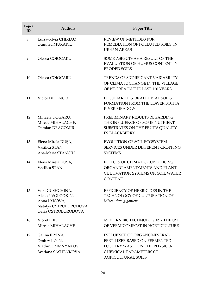| Paper<br>ID | <b>Authors</b>                                                                                        | <b>Paper Title</b>                                                                                                                                  |
|-------------|-------------------------------------------------------------------------------------------------------|-----------------------------------------------------------------------------------------------------------------------------------------------------|
| 8.          | Luiza-Silvia CHIRIAC,<br>Dumitru MURARIU                                                              | REVIEW OF METHODS FOR<br>REMEDIATION OF POLLUTED SOILS IN<br><b>URBAN AREAS</b>                                                                     |
| 9.          | Olesea COJOCARU                                                                                       | SOME ASPECTS AS A RESULT OF THE<br>EVALUATION OF HUMUS CONTENT IN<br>ERODED SOILS                                                                   |
| 10.         | Olesea COJOCARU                                                                                       | TRENDS OF SIGNIFICANT VARIABILITY<br>OF CLIMATE CHANGE IN THE VILLAGE<br>OF NEGREA IN THE LAST 120 YEARS                                            |
| 11.         | Victor DIDENCO                                                                                        | PECULIARITIES OF ALLUVIAL SOILS<br>FORMATION FROM THE LOWER BOTNA<br><b>RIVER MEADOW</b>                                                            |
| 12.         | Mihaela DOGARU,<br>Mircea MIHALACHE,<br>Damian DRAGOMIR                                               | PRELIMINARY RESULTS REGARDING<br>THE INFLUENCE OF SOME NUTRIENT<br>SUBSTRATES ON THE FRUITS QUALITY<br><b>IN BLACKBERRY</b>                         |
| 13.         | Elena Mirela DUȘA,<br>Vasilica STAN,<br>Ana-Maria STANCIU                                             | EVOLUTION OF SOIL ECOSYSTEM<br>SERVICES UNDER DIFFERENT CROPPING<br><b>SYSTEMS</b>                                                                  |
| 14.         | Elena Mirela DUŞA,<br>Vasilica STAN                                                                   | EFFECTS OF CLIMATIC CONDITIONS,<br>ORGANIC AMENDMENTS AND PLANT<br><b>CULTIVATION SYSTEMS ON SOIL WATER</b><br><b>CONTENT</b>                       |
| 15.         | Vera GUSHCHINA,<br>Aleksei VOLODKIN,<br>Anna LYKOVA,<br>Natalya OSTROBORODOVA,<br>Daria OSTROBORODOVA | EFFICIENCY OF HERBICIDES IN THE<br>TECHNOLOGY OF CULTURATION OF<br>Miscanthus giganteus                                                             |
| 16.         | Viorel ILIE,<br>Mircea MIHALACHE                                                                      | MODERN BIOTECHNOLOGIES - THE USE<br>OF VERMICOMPOST IN HORTICULTURE                                                                                 |
| 17.         | Galina ILYINA,<br>Dmitry ILYIN,<br>Vladimir ZIMNYAKOV,<br>Svetlana SASHENKOVA                         | INFLUENCE OF ORGANOMINERAL<br>FERTILIZER BASED ON FERMENTED<br>POULTRY WASTE ON THE PHYSICO-<br><b>CHEMICAL PARAMETERS OF</b><br>AGRICULTURAL SOILS |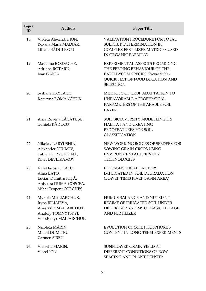| Paper<br>ID | <b>Authors</b>                                                                                                  | <b>Paper Title</b>                                                                                                                                          |
|-------------|-----------------------------------------------------------------------------------------------------------------|-------------------------------------------------------------------------------------------------------------------------------------------------------------|
| 18.         | Violeta Alexandra ION,<br>Roxana Maria MADJAR,<br>Liliana BĂDULESCU                                             | VALIDATION PROCEDURE FOR TOTAL<br>SULPHUR DETERMINATION IN<br>COMPLEX FERTILIZER MATRICES USED<br><b>IN ORGANIC FARMING</b>                                 |
| 19.         | Madalina IORDACHE,<br>Adriana ROTARU,<br><b>Ioan GAICA</b>                                                      | EXPERIMENTAL ASPECTS REGARDING<br>THE FEEDING BEHAVIOUR OF THE<br>EARTHWORM SPECIES Eisenia fetida -<br>QUICK TEST OF FOOD LOCATION AND<br><b>SELECTION</b> |
| 20.         | Svitlana KRYLACH,<br>Kateryna ROMANCHUK                                                                         | METHODS OF CROP ADAPTATION TO<br>UNFAVORABLE AGROPHYSICAL<br>PARAMETERS OF THE ARABLE SOIL<br>LAYER                                                         |
| 21.         | Anca Rovena LĂCĂTUȘU,<br>Daniela RĂDUCU                                                                         | SOIL BIODIVERSITY MODELLING ITS<br><b>HABITAT AND CREATING</b><br>PEDOFEATURES FOR SOIL<br><b>CLASSIFICATION</b>                                            |
| 22.         | Nikolay LARYUSHIN,<br>Alexander SHUKOV,<br>Tatiana KIRYUKHINA,<br>Rinat DEVLIKAMOV                              | NEW WORKING BODIES OF SEEDERS FOR<br>SOWING GRAIN CROPS USING<br>ENVIRONMENTAL FRIENDLY<br><b>TECHNOLOGIES</b>                                              |
| 23.         | Karel Iaroslav LAŢO,<br>Alina LAȚO,<br>Lucian Dumitru NIȚĂ,<br>Anișoara DUMA-COPCEA,<br>Mihai Teopent CORCHEŞ   | PEDO-GENETICAL FACTORS<br>IMPLICATED IN SOIL DEGRADATION<br>(LOWER TIMIS RIVER BASIN AREA)                                                                  |
| 24.         | Mykola MALIARCHUK,<br>Iryna BILIAIEVA,<br>Anastasiia MALIARCHUK,<br>Anatoly TOMNYTSKYI,<br>Volodymyr MALIARCHUK | HUMUS BALANCE AND NUTRIENT<br>REGIME OF IRRIGATED SOIL UNDER<br>DIFFERENT SYSTEMS OF BASIC TILLAGE<br>AND FERTILIZER                                        |
| 25.         | Nicoleta MĂRIN,<br>Mihail DUMITRU,<br>Carmen SÎRBU                                                              | <b>EVOLUTION OF SOIL PHOSPHORUS</b><br>CONTENT IN LONG-TERM EXPERIMENTS                                                                                     |
| 26.         | Victorița MARIN,<br>Viorel ION                                                                                  | SUNFLOWER GRAIN YIELD AT<br>DIFFERENT CONDITIONS OF ROW<br>SPACING AND PLANT DENSITY                                                                        |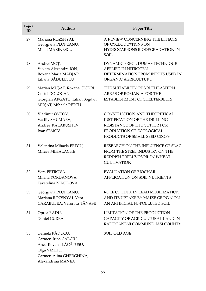| Paper<br>ID | Authors                                                                                                                           | Paper Title                                                                                                                                               |
|-------------|-----------------------------------------------------------------------------------------------------------------------------------|-----------------------------------------------------------------------------------------------------------------------------------------------------------|
| 27.         | Mariana ROZSNYAI,<br>Georgiana PLOPEANU,<br>Mihai MARINESCU                                                                       | A REVIEW CONCERNING THE EFFECTS<br>OF CYCLODEXTRINS ON<br>HYDROCARBONS BIODEGRADATION IN<br>SOIL                                                          |
| 28.         | Andrei MOȚ,<br>Violeta Alexandra ION,<br>Roxana Maria MADJAR,<br>Liliana BĂDULESCU                                                | DYNAMIC PREGL-DUMAS TECHNIQUE<br><b>APPLIED IN NITROGEN</b><br>DETERMINATION FROM INPUTS USED IN<br>ORGANIC AGRICULTURE                                   |
| 29.         | Marian MUŞAT, Roxana CICEOI,<br>Costel DOLOCAN,<br>Giorgian ARGATU, Iulian Bogdan<br>MUȘAT, Mihaela PETCU                         | THE SUITABILITY OF SOUTHEASTERN<br>AREAS OF ROMANIA FOR THE<br>ESTABLISHMENT OF SHELTERBELTS                                                              |
| 30.         | Vladimir OVTOV,<br>Vasiliy SHUMAEV,<br>Andrey KALABUSHEV,<br>Ivan SEMOV                                                           | CONSTRUCTION AND THEORETICAL<br>JUSTIFICATION OF THE DRILLING<br>RESISTANCE OF THE CUTTER FOR<br>PRODUCTION OF ECOLOGICAL<br>PRODUCTS OF SMALL SEED CROPS |
| 31.         | Valentina Mihaela PETCU,<br>Mircea MIHALACHE                                                                                      | RESEARCH ON THE INFLUENCE OF SLAG<br>FROM THE STEEL INDUSTRY ON THE<br>REDDISH PRELUVOSOIL IN WHEAT<br><b>CULTIVATION</b>                                 |
| 32.         | Vera PETROVA,<br>Milena YORDANOVA,<br>Tsvetelina NIKOLOVA                                                                         | <b>EVALUATION OF BIOCHAR</b><br>APPLICATION ON SOIL NUTRIENTS                                                                                             |
| 33.         | Georgiana PLOPEANU,<br>Mariana ROZSNYAI, Vera<br>CARABULEA, Veronica TĂNASE                                                       | ROLE OF EDTA IN LEAD MOBILIZATION<br>AND ITS UPTAKE BY MAIZE GROWN ON<br>AN ARTIFICIAL Pb-POLLUTED SOIL                                                   |
| 34.         | Oprea RADU,<br>Daniel CUREA                                                                                                       | LIMITATION OF THE PRODUCTION<br>CAPACITY OF AGRICULTURAL LAND IN<br>RADUCANENI COMMUNE, IASI COUNTY                                                       |
| 35.         | Daniela RĂDUCU,<br>Carmen-Irina CALCIU,<br>Anca-Rovena LĂCĂTUȘU,<br>Olga VIZITIU,<br>Carmen-Alina GHERGHINA,<br>Alexandrina MANEA | SOIL OLD AGE                                                                                                                                              |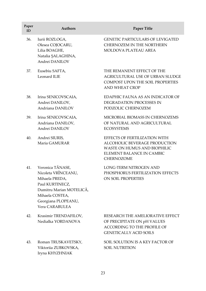| Paper<br>ID | <b>Authors</b>                                                                                                                                                       | Paper Title                                                                                                                               |
|-------------|----------------------------------------------------------------------------------------------------------------------------------------------------------------------|-------------------------------------------------------------------------------------------------------------------------------------------|
| 36.         | Iurii ROZLOGA,<br>Olesea COJOCARU,<br>Lilia BOAGHE,<br>Natalia SALAGHINA,<br>Andrei DANILOV                                                                          | <b>GENETIC PARTICULARS OF LEVIGATED</b><br>CHERNOZEM IN THE NORTHERN<br><b>MOLDOVA PLATEAU AREA</b>                                       |
| 37.         | Eusebiu SAFTA,<br>Leonard ILIE                                                                                                                                       | THE REMANENT EFFECT OF THE<br>AGRICULTURAL USE OF URBAN SLUDGE<br><b>COMPOST UPON THE SOIL PROPERTIES</b><br>AND WHEAT CROP               |
| 38.         | Irina SENICOVSCAIA,<br>Andrei DANILOV,<br>Andriana DANILOV                                                                                                           | EDAPHIC FAUNA AS AN INDICATOR OF<br>DEGRADATION PROCESSES IN<br>PODZOLIC CHERNOZEM                                                        |
| 39.         | Irina SENICOVSCAIA,<br>Andriana DANILOV,<br>Andrei DANILOV                                                                                                           | MICROBIAL BIOMASS IN CHERNOZEMS<br>OF NATURAL AND AGRICULTURAL<br><b>ECOSYSTEMS</b>                                                       |
| 40.         | Andrei SIURIS,<br>Maria GAMURAR                                                                                                                                      | EFFECTS OF FERTILIZATION WITH<br>ALCOHOLIC BEVERAGE PRODUCTION<br>WASTE ON HUMUS AND BIOPHILIC<br>ELEMENT BALANCE IN CAMBIC<br>CHERNOZOME |
| 41.         | Veronica TĂNASE,<br>Nicoleta VRÎNCEANU,<br>Mihaela PREDA,<br>Paul KURTINECZ,<br>Dumitru Marian MOTELICĂ,<br>Mihaela COSTEA,<br>Georgiana PLOPEANU,<br>Vera CARABULEA | <b>LONG-TERM NITROGEN AND</b><br>PHOSPHORUS FERTILIZATION EFFECTS<br>ON SOIL PROPERTIES                                                   |
| 42.         | Krasimir TRENDAFILOV,<br>Nedialka YORDANOVA                                                                                                                          | RESEARCH THE AMELIORATIVE EFFECT<br>OF PRECIPITATE ON pH VALUES<br>ACCORDING TO THE PROFILE OF<br><b>GENETICALLY ACID SOILS</b>           |
| 43.         | Roman TRUSKAVETSKY,<br>Viktoriia ZUBKOVSKA,<br>Iryna KHYZHNIAK                                                                                                       | SOIL SOLUTION IS A KEY FACTOR OF<br><b>SOIL NUTRITION</b>                                                                                 |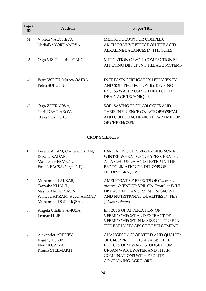| Paper<br>ID | <b>Authors</b>                                       | <b>Paper Title</b>                                                                                                               |
|-------------|------------------------------------------------------|----------------------------------------------------------------------------------------------------------------------------------|
| 44.         | Violeta VALCHEVA,<br>Nedialka YORDANOVA              | METHODOLOGY FOR COMPLEX<br>AMELIORATIVE EFFECT ON THE ACID-<br>ALKALINE BALANCES IN THE SOILS                                    |
| 45.         | Olga VIZITIU, Irina CALCIU                           | MITIGATION OF SOIL COMPACTION BY<br>APPLYING DIFFERENT TILLAGE SYSTEMS                                                           |
| 46.         | Petre VOICU, Mircea OAIDA,<br>Petru SURUGIU          | <b>INCREASING IRRIGATION EFFICIENCY</b><br>AND SOIL PROTECTION BY REUSING<br>EXCESS WATER USING THE CLOSED<br>DRAINAGE TECHNIOUE |
| 47.         | Olga ZHERNOVA,<br>Yurii DEHTIAROV,<br>Oleksandr KUTS | SOIL-SAVING TECHNOLOGIES AND<br>THEIR INFLUENCE ON AGROPHYSICAL<br>AND COLLOID-CHEMICAL PARAMETERS<br>OF CHERNOZEM               |

#### **CROP SCIENCES**

- 1. Lorena ADAM, Cornelia TICAN, Rozalia KADAR, Manuela HERMEZIU, Emil NEACȘA, Virgil NIŢU
- 2. Muhammad AKBAR, Tayyaba KHALIL, Nasim Ahmad YASIN, Waheed AKRAM, Aqeel AHMAD, Muhammad Sajjad IQBAL
- 3. Angela Cristina AMUZA, Leonard ILIE
- 4. Alexander AREFIEV, Evgeny KUZIN, Elena KUZINA, Ksenia STELMAKH

PARTIAL RESULTS REGARDING SOME WINTER WHEAT GENOTYPES CREATED AT ARDS TURDA AND TESTED IN THE PEDOCLIMATIC CONDITIONS OF NIRDPSB BRAȘOV

AMELIORATIVE EFFECTS OF *Calotropis procera* AMENDED SOIL ON *Fusarium* WILT DISEASE*,* ENHANCEMENT IN GROWTH AND NUTRITIONAL QUALITIES IN PEA (*Pisum sativum*)

EFFECTS OF APPLICATION OF VERMICOMPOST AND EXTRACT OF VERMICOMPOST IN MAIZE CULTURE IN THE EARLY STAGES OF DEVELOPMENT

CHANGES IN CROP YIELD AND QUALITY OF CROP PRODUCTS AGAINST THE EFFECTS OF SEWAGE SLUDGE FROM URBAN WASTEWATER AND THEIR COMBINATIONS WITH ZEOLITE-CONTAINING AGRO-ORE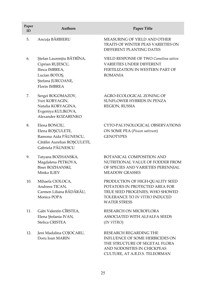| Paper<br>ID | <b>Authors</b>                                                                                                                | Paper Title                                                                                                                                                  |
|-------------|-------------------------------------------------------------------------------------------------------------------------------|--------------------------------------------------------------------------------------------------------------------------------------------------------------|
| 5.          | Ancuța BĂRBIERU                                                                                                               | MEASURING OF YIELD AND OTHER<br>TRAITS OF WINTER PEAS VARIETIES ON<br>DIFFERENT PLANTING DATES                                                               |
| 6.          | Ștefan Laurențiu BĂTRÎNA,<br>Ciprian RUJESCU,<br>Ilinca IMBREA,<br>Lucian BOTOS,<br>Ștefana JURCOANE,<br><b>Florin IMBREA</b> | YIELD RESPONSE OF TWO Camelina sativa<br><b>VARIETIES UNDER DIFFERENT</b><br>FERTILIZATION IN WESTERN PART OF<br><b>ROMANIA</b>                              |
| 7.          | Sergei BOGOMAZOV,<br>Yuri KORYAGIN,<br>Natalia KORYAGINA,<br>Evgeniya KULIKOVA,<br>Alexander KOZARENKO                        | AGRO-ECOLOGICAL ZONING OF<br>SUNFLOWER HYBRIDS IN PENZA<br>REGION, RUSSIA                                                                                    |
| 8.          | Elena BONCIU,<br>Elena ROȘCULETE,<br>Ramona Aida PĂUNESCU,<br>Cătălin Aurelian ROȘCULETE,<br>Gabriela PĂUNESCU                | CYTO-PALYNOLOGICAL OBSERVATIONS<br>ON SOME PEA (Pisum sativum)<br><b>GENOTYPES</b>                                                                           |
| 9.          | Tatyana BOZHANSKA,<br>Magdalena PETKOVA,<br>Biser BOZHANSKI,<br>Minko ILIEV                                                   | BOTANICAL COMPOSITION AND<br>NUTRITIONAL VALUE OF FODDER FROM<br>OF SPECIES AND VARIETIES PERENNIAL<br><b>MEADOW GRASSES</b>                                 |
| 10.         | Mihaela CIOLOCA,<br>Andreea TICAN,<br>Carmen Liliana BĂDĂRĂU,<br>Monica POPA                                                  | PRODUCTION OF HIGH-QUALITY SEED<br>POTATOES IN PROTECTED AREA FOR<br>TRUE SEED PROGENIES, WHO SHOWED<br>TOLERANCE TO IN VITRO INDUCED<br><b>WATER STRESS</b> |
| 11.         | Gabi Valentin CÎRSTEA,<br>Elena Ştefania IVAN,<br>Stelica CRISTEA                                                             | RESEARCH ON MICROFLORA<br>ASSOCIATED WITH ALFALFA SEEDS<br>(IN VITRO)                                                                                        |
| 12.         | Jeni Madalina COJOCARU,<br>Doru Ioan MARIN                                                                                    | RESEARCH REGARDING THE<br>INFLUENCE OF SOME HERBICIDES ON<br>THE STRUCTURE OF SEGETAL FLORA<br>AND NODOSITIES IN CHICKPEAS<br>CULTURE, AT A.R.D.S. TELEORMAN |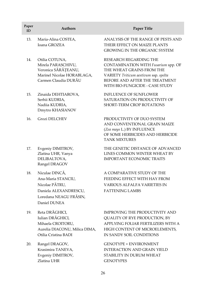| Paper<br>ID | <b>Authors</b>                                                                                                            | <b>Paper Title</b>                                                                                                                                                                                       |
|-------------|---------------------------------------------------------------------------------------------------------------------------|----------------------------------------------------------------------------------------------------------------------------------------------------------------------------------------------------------|
| 13.         | Maria-Alina COSTEA,<br>Ioana GROZEA                                                                                       | ANALYSIS OF THE RANGE OF PESTS AND<br>THEIR EFFECT ON MAIZE PLANTS<br><b>GROWING IN THE ORGANIC SYSTEM</b>                                                                                               |
| 14.         | Otilia COTUNA,<br>Mirela PARASCHIVU,<br>Veronica SĂRĂȚEANU,<br>Marinel Nicolae HORABLAGA,<br>Carmen Claudia DURĂU         | RESEARCH REGARDING THE<br>CONTAMINATION WITH Fusarium spp. OF<br>THE WHEAT GRAINS FROM THE<br>VARIETY Triticum aestivum ssp. spelta<br>BEFORE AND AFTER THE TREATMENT<br>WITH BIO-FUNGICIDE - CASE STUDY |
| 15.         | Zinaida DEHTIAROVA,<br>Serhii KUDRIA,<br>Nadiia KUDRIA,<br>Dmytro KHASIANOV                                               | <b>INFLUENCE OF SUNFLOWER</b><br>SATURATION ON PRODUCTIVITY OF<br>SHORT-TERM CROP ROTATIONS                                                                                                              |
| 16.         | <b>Grozi DELCHEV</b>                                                                                                      | PRODUCTIVITY OF DUO SYSTEM<br>AND CONVENTIONAL GRAIN MAIZE<br>(Zea mays L.) BY INFLUENCE<br>OF SOME HERBICIDES AND HERBICIDE<br><b>TANK MIXTURES</b>                                                     |
| 17.         | Evgeniy DIMITROV,<br>Zlatina UHR, Vanya<br>DELIBALTOVA,<br>Rangel DRAGOV                                                  | THE GENETIC DISTANCE OF ADVANCED<br>LINES COMMON WINTER WHEAT BY<br><b>IMPORTANT ECONOMIC TRAITS</b>                                                                                                     |
| 18.         | Niculae DINCĂ,<br>Ana-Maria STANCIU,<br>Nicolae PĂTRU,<br>Daniela ALEXANDRESCU,<br>Loredana NEAGU FRĂSIN,<br>Daniel DUNEA | A COMPARATIVE STUDY OF THE<br>FEEDING EFFECT WITH HAY FROM<br><b>VARIOUS ALFALFA VARIETIES IN</b><br><b>FATTENING LAMBS</b>                                                                              |
| 19.         | Reta DRĂGHICI,<br>Iulian DRĂGHICI,<br>Mihaela CROITORU,<br>Aurelia DIACONU, Milica DIMA,<br>Otilia Cristina BADI          | <b>IMPROVING THE PRODUCTIVITY AND</b><br>QUALITY OF RYE PRODUCTION, BY<br>APPLYING FOLIAR FERTILIZERS WITH A<br>HIGH CONTENT OF MICROELEMENTS,<br>IN SANDY SOIL CONDITIONS                               |
| 20.         | Rangel DRAGOV,<br>Krasimira TANEVA,<br>Evgeniy DIMITROV,<br>Zlatina UHR                                                   | <b>GENOTYPE × ENVIRONMENT</b><br><b>INTERACTION AND GRAIN YIELD</b><br>STABILITY IN DURUM WHEAT<br><b>GENOTYPES</b>                                                                                      |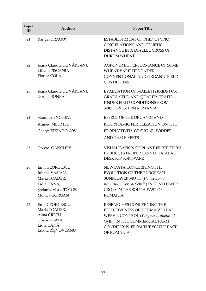| Paper<br>ID | <b>Authors</b>                                                                                               | Paper Title                                                                                                                                                                               |
|-------------|--------------------------------------------------------------------------------------------------------------|-------------------------------------------------------------------------------------------------------------------------------------------------------------------------------------------|
| 21.         | Rangel DRAGOV                                                                                                | <b>ESTABLISHMENT OF PHENOTYPIC</b><br><b>CORRELATIONS AND GENETIC</b><br>DISTANCE IN A DIALLEL CROSS OF<br><b>DURUM WHEAT</b>                                                             |
| 22.         | Ioana Claudia DUNĂREANU,<br>Liliana PISCANU,<br>Florica COLĂ                                                 | <b>AGRONOMIC PERFORMANCE OF SOME</b><br><b>WHEAT VARIETIES UNDER</b><br>CONVENTIONAL AND ORGANIC FIELD<br><b>CONDITIONS</b>                                                               |
| 23.         | Ioana Claudia DUNĂREANU,<br>Dorina BONEA                                                                     | EVALUATION OF MAIZE HYBRIDS FOR<br><b>GRAIN YIELD AND QUALITY TRAITS</b><br>UNDER FIELD CONDITIONS FROM<br>SOUTHWESTERN ROMANIA                                                           |
| 24.         | Stanimir ENCHEV,                                                                                             | EFFECT OF THE ORGANIC AND                                                                                                                                                                 |
|             | Ahmed MEHMED,                                                                                                | BIODYNAMIC FERTILIZATION ON THE                                                                                                                                                           |
|             | Georgi KIKINDONOV                                                                                            | PRODUCTIVITY OF SUGAR, FODDER                                                                                                                                                             |
|             |                                                                                                              | <b>AND TABLE BEETS</b>                                                                                                                                                                    |
| 25.         | Donyo GANCHEV                                                                                                | VISUALISATION OF PLANT PROTECTION<br>PRODUCTS PROPERTIES VIA TABLEAU<br><b>DESKTOP SOFTWARE</b>                                                                                           |
| 26.         | Emil GEORGESCU,<br>Iuliana VASIAN,<br>Maria TOADER,<br>Lidia CANĂ,<br>Ștefania Maria TÖTÖS,<br>Monica GORGAN | NEW DATA CONCERNING THE<br>EVOLUTION OF THE EUROPEAN<br>SUNFLOWER MOTH (Homoeosoma<br>nebulellum Den. & Schiff.) IN SUNFLOWER<br>CROPS IN THE SOUTH-EAST OF<br><b>ROMANIA</b>             |
| 27.         | Emil GEORGESCU,<br>Maria TOADER,<br>Alina CREȚU,<br>Cristina RADU,<br>Lidia CANĂ,<br>Luxița RÎȘNOVEANU       | RESEARCHES CONCERNING THE<br>EFFECTIVENESS OF THE MAIZE LEAF<br>WEEVIL CONTROL (Tanymecus dilaticollis<br>Gyll.), IN THE COMMERCIAL FARM<br>CONDITIONS, FROM THE SOUTH-EAST<br>OF ROMANIA |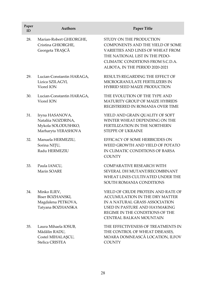| Paper<br>ID | <b>Authors</b>                                                                     | <b>Paper Title</b>                                                                                                                                                                                         |
|-------------|------------------------------------------------------------------------------------|------------------------------------------------------------------------------------------------------------------------------------------------------------------------------------------------------------|
| 28.         | Marian-Robert GHEORGHE,<br>Cristina GHIORGHE,<br>Georgeta TRAȘCĂ                   | STUDY ON THE PRODUCTION<br>COMPONENTS AND THE YIELD OF SOME<br>VARIETIES AND LINES OF WHEAT FROM<br>THE NATIONAL LIST IN THE PEDO-<br>CLIMATIC CONDITIONS FROM S.C.D.A.<br>ALBOTA, IN THE PERIOD 2020-2021 |
| 29.         | Lucian-Constantin HARAGA,<br>Lizica SZILAGYI,<br>Viorel ION                        | RESULTS REGARDING THE EFFECT OF<br>MICROGRANULATE FERTILIZERS IN<br>HYBRID SEED MAIZE PRODUCTION                                                                                                           |
| 30.         | Lucian-Constantin HARAGA,<br>Viorel ION                                            | THE EVOLUTION OF THE TYPE AND<br><b>MATURITY GROUP OF MAIZE HYBRIDS</b><br>REGISTRERED IN ROMANIA OVER TIME                                                                                                |
| 31.         | Iryna HASANOVA,<br>Nataliia NOZDRINA,<br>Mykola SOLODUSHKO,<br>Marharyta YERASHOVA | YIELD AND GRAIN QUALITY OF SOFT<br>WINTER WHEAT DEPENDING ON THE<br>FERTILIZATION IN THE NORTHERN<br>STEPPE OF UKRAINE                                                                                     |
| 32.         | Manuela HERMEZIU,<br>Sorina NIȚU,<br>Radu HERMEZIU                                 | EFFICACY OF SOME HERBICIDES ON<br>WEED GROWTH AND YIELD OF POTATO<br>IN CLIMATIC CONDITIONS OF BARSA<br><b>COUNTY</b>                                                                                      |
| 33.         | Paula IANCU,<br>Marin SOARE                                                        | <b>COMPARATIVE RESEARCH WITH</b><br>SEVERAL DH MUTANT/RECOMBINANT<br>WHEAT LINES CULTIVATED UNDER THE<br>SOUTH ROMANIA CONDITIONS                                                                          |
| 34.         | Minko ILIEV,<br>Biser BOZHANSKI,<br>Magdalena PETKOVA,<br>Tatyana BOZHANSKA        | YIELD OF CRUDE PROTEIN AND RATE OF<br>ACCUMULATION IN THE DRY MATTER<br>IN A NATURAL GRASS ASSOCIATION<br>USED IN PASTURE AND HAYMAKING<br>REGIME IN THE CONDITIONS OF THE<br>CENTRAL BALKAN MOUNTAIN      |
| 35.         | Laura Mihaela IOSUB,<br>Mădălin RADU,<br>Costel MIHALAŞCU,<br>Stelica CRISTEA      | THE EFFECTIVENESS OF TREATMENTS IN<br>THE CONTROL OF WHEAT DISEASES,<br>MOARA DOMNEASCĂ LOCATION, ILFOV<br><b>COUNTY</b>                                                                                   |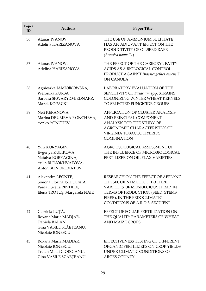| Paper<br>ID | <b>Authors</b>                                                                                             | Paper Title                                                                                                                                                                                                  |
|-------------|------------------------------------------------------------------------------------------------------------|--------------------------------------------------------------------------------------------------------------------------------------------------------------------------------------------------------------|
| 36.         | Atanas IVANOV,<br>Adelina HARIZANOVA                                                                       | THE USE OF AMMONIUM SULPHATE<br>HAS AN ADJUVANT EFFECT ON THE<br>PRODUCTIVITY OF OILSEED RAPE<br>(Brassica napus L.)                                                                                         |
| 37.         | Atanas IVANOV,<br>Adelina HARIZANOVA                                                                       | THE EFFECT OF THE CARBOXYL FATTY<br>ACIDS AS A BIOLOGICAL CONTROL<br>PRODUCT AGAINST Brassicogethes aeneus F.<br><b>ON CANOLA</b>                                                                            |
| 38.         | Agnieszka JAMIOłKOWSKA,<br>Weronika KURSA,<br>Barbara SKWARYłO-BEDNARZ,<br>Marek KOPACKI                   | LABORATORY EVALUATION OF THE<br>SENSITIVITY OF Fusarium spp. STRAINS<br>COLONIZING WINTER WHEAT KERNELS<br>TO SELECTED FUNGICIDE GROUPS                                                                      |
| 39.         | Neli KERANOVA,<br>Marina DRUMEVA-YONCHEVA,<br>Yonko YONCHEV                                                | APPLICATION OF CLUSTER ANALYSIS<br>AND PRINCIPAL COMPONENT<br>ANALYSIS FOR THE STUDY OF<br><b>AGRONOMIC CHARACTERISTICS OF</b><br>VIRGINIA TOBACCO HYBRIDS<br><b>COMBINATION</b>                             |
| 40.         | Yuri KORYAGIN,<br>Evgenya KULIKOVA,<br>Natalya KORYAGINA,<br>Yulia BLINOKHVATOVA,<br>Anton BLINOKHVATOV    | AGROECOLOGICAL ASSESSMENT OF<br>THE INFLUENCE OF MICROBIOLOGICAL<br><b>FERTILIZER ON OIL FLAX VARIETIES</b>                                                                                                  |
| 41.         | Alexandra LEONTE,<br>Simona Florina ISTICIOAIA,<br>Paula Lucelia PINTILIE,<br>Elena TROTUȘ, Margareta NAIE | RESEARCH ON THE EFFECT OF APPLYNG<br>THE SECUIENI METHOD TO THREE<br>VARIETIES OF MONOECIOUS HEMP, IN<br>TERMS OF PRODUCTION (SEED, STEMS,<br>FIBER), IN THE PEDOCLIMATIC<br>CONDITIONS OF A.R.D.S. SECUIENI |
| 42.         | Gabriela LUTĂ,<br>Roxana Maria MADJAR,<br>Daniela BĂLAN,<br>Gina VASILE SCĂEȚEANU,<br>Nicolaie IONESCU     | EFFECT OF FOLIAR FERTILIZATION ON<br>THE QUALITY PARAMETERS OF WHEAT<br><b>AND MAIZE CROPS</b>                                                                                                               |
| 43.         | Roxana Maria MADJAR,<br>Nicolaie IONESCU,<br>Traian Mihai CIOROIANU,<br>Gina VASILE SCĂEȚEANU              | EFFECTIVENESS TESTING OF DIFFERENT<br>ORGANIC FERTILIZERS ON CROP YIELDS<br>UNDER CLIMATIC CONDITIONS OF<br>ARGES COUNTY                                                                                     |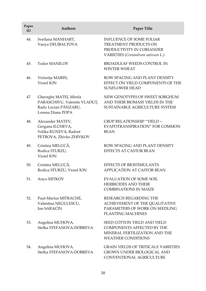| Paper<br>ID | <b>Authors</b>                                                                                      | <b>Paper Title</b>                                                                                                                    |
|-------------|-----------------------------------------------------------------------------------------------------|---------------------------------------------------------------------------------------------------------------------------------------|
| 44.         | Svetlana MANHART,<br>Vanya DELIBALTOVA                                                              | <b>INFLUENCE OF SOME FOLIAR</b><br>TREATMENT PRODUCTS ON<br>PRODUCTIVITY IN CORIANDER<br>VARIETIES (Coriandrum sativum L.)            |
| 45.         | <b>Todor MANILOV</b>                                                                                | BROADLEAF WEEDS CONTROL IN<br><b>WINTER WHEAT</b>                                                                                     |
| 46.         | Victorița MARIN,<br>Viorel ION                                                                      | ROW SPACING AND PLANT DENSITY<br>EFFECT ON YIELD COMPONENTS OF THE<br><b>SUNFLOWER HEAD</b>                                           |
| 47.         | Gheorghe MATEI, Mirela<br>PARASCHIVU, Valentin VLADUȚ,<br>Radu Lucian PÂNZARU,<br>Lorena Diana POPA | NEW GENOTYPES OF SWEET SORGHUM<br>AND THEIR BIOMASS YIELDS IN THE<br>SUSTAINABLE AGRICULTURE SYSTEM                                   |
| 48.         | Alexander MATEV,<br>Gergana ILCHEVA,<br>Velika KUNEVA, Radost<br>PETROVA, Zhivko ZHIVKOV            | CROP RELATIONSHIP "YIELD -<br>EVAPOTRANSPIRATION" FOR COMMON<br><b>BEAN</b>                                                           |
| 49.         | Cristina MELUCĂ,<br>Rodica STURZU,<br>Viorel ION                                                    | ROW SPACING AND PLANT DENSITY<br>EFFECTS AT CASTOR BEAN                                                                               |
| 50.         | Cristina MELUCĂ,<br>Rodica STURZU, Viorel ION                                                       | EFFECTS OF BIOSTIMULANTS<br>APPLICATION AT CASTOR BEAN                                                                                |
| 51.         | Anyo MITKOV                                                                                         | <b>EVALUATION OF SOME SOIL</b><br><b>HERBICIDES AND THEIR</b><br><b>COMBINATIONS IN MAIZE</b>                                         |
| 52.         | Paul-Marius MITRACHE,<br>Valentina NEGULESCU,<br><b>Ion SARACIN</b>                                 | RESEARCH REGARDING THE<br>ACHIEVEMENT OF THE QUALITATIVE<br>PARAMETERS OF WORK ON SEEDLING<br>PLANTING MACHINES                       |
| 53.         | Angelina MUHOVA,<br>Stefka STEFANOVA-DOBREVA                                                        | <b>SEED COTTON YIELD AND YIELD</b><br><b>COMPONENTS AFFECTED BY THE</b><br>MINERAL FERTILIZATION AND THE<br><b>WEATHER CONDITIONS</b> |
| 54.         | Angelina MUHOVA,<br>Stefka STEFANOVA-DOBREVA                                                        | <b>GRAIN YIELDS OF TRITICALE VARIETIES</b><br><b>GROWN UNDER BIOLOGICAL AND</b><br>CONVENTIONAL AGRICULTURE                           |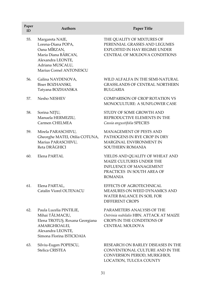| Paper<br>ID | <b>Authors</b>                                                                                                                                   | Paper Title                                                                                                                                   |
|-------------|--------------------------------------------------------------------------------------------------------------------------------------------------|-----------------------------------------------------------------------------------------------------------------------------------------------|
| 55.         | Margareta NAIE,<br>Lorena-Diana POPA,<br>Oana MÎRZAN,<br>Maria Diana BĂRCAN,<br>Alexandra LEONTE,<br>Adriana MUSCALU,<br>Marius Cornel ANTONESCU | THE QUALITY OF MIXTURES OF<br>PERENNIAL GRASSES AND LEGUMES<br>EXPLOITED IN HAY REGIME UNDER<br>CENTRAL OF MOLDOVA CONDITIONS                 |
| 56.         | Galina NAYDENOVA,<br>Biser BOZHANSKI,<br>Tatyana BOZHANSKA                                                                                       | WILD ALFALFA IN THE SEMI-NATURAL<br><b>GRASSLANDS OF CENTRAL NORTHERN</b><br><b>BULGARIA</b>                                                  |
| 57.         | Nesho NESHEV                                                                                                                                     | COMPARISON OF CROP ROTATION VS<br>MONOCULTURE: A SUNFLOWER CASE                                                                               |
| 58.         | Sorina NIȚU,<br>Manuela HERMEZIU,<br>Carmen CHELMEA                                                                                              | STUDY OF SOME GROWTH AND<br>REPRODUCTIVE ELEMENTS IN THE<br>Cassia angustifolia SPECIES                                                       |
| 59.         | Mirela PARASCHIVU,<br>Gheorghe MATEI, Otilia COTUNA,<br>Marius PARASCHIVU,<br>Reta DRĂGHICI                                                      | MANAGEMENT OF PESTS AND<br>PATHOGENS IN RYE CROP IN DRY<br>MARGINAL ENVIRONMENT IN<br>SOUTHERN ROMANIA                                        |
| 60.         | Elena PARTAL                                                                                                                                     | YIELDS AND QUALITY OF WHEAT AND<br>MAIZE CULTURES UNDER THE<br><b>INFLUENCE OF MANAGEMENT</b><br>PRACTICES IN SOUTH AREA OF<br><b>ROMANIA</b> |
| 61.         | Elena PARTAL,<br>Catalin Viorel OLTENACU                                                                                                         | <b>EFFECTS OF AGROTECHNICAL</b><br>MEASURES ON WEED DYNAMICS AND<br><b>WATER BALANCE IN SOIL FOR</b><br><b>DIFFERENT CROPS</b>                |
| 62.         | Paula Lucelia PINTILIE,<br>Mihai TĂLMACIU,<br>Elena TROTUȘ, Roxana Georgiana<br>AMARGHIOALEI,<br>Alexandra LEONTE,<br>Simona Florina ISTICIOAIA  | PARAMETERS ANALYSIS OF THE<br>Ostrinia nubilalis HBN. ATTACK AT MAIZE<br>CROPS IN THE CONDITIONS OF<br><b>CENTRAL MOLDOVA</b>                 |
| 63.         | Silviu-Eugen POPESCU,<br>Stelica CRISTEA                                                                                                         | RESEARCH ON BARLEY DISEASES IN THE<br>CONVENTIONAL CULTURE AND IN THE<br>CONVERSION PERIOD, MURIGHIOL<br>LOCATION, TULCEA COUNTY              |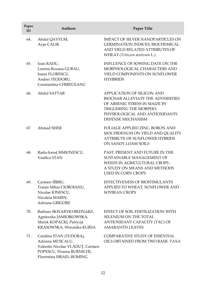| Paper<br>ID | Authors                                                                                                                                  | <b>Paper Title</b>                                                                                                                                                                                     |
|-------------|------------------------------------------------------------------------------------------------------------------------------------------|--------------------------------------------------------------------------------------------------------------------------------------------------------------------------------------------------------|
| 64.         | Abdul QAYYUM,<br>Ayşe CALIK                                                                                                              | <b>IMPACT OF SILVER NANOPARTICLES ON</b><br>GERMINATION INDICES, BIOCHEMICAL<br>AND YIELD RELATED ATTRIBUTES OF<br>WHEAT (Triticum aestivum L.)                                                        |
| 65.         | Ioan RADU,<br>Lorena-Roxana GURAU,<br>Ioana FLORESCU,<br>Andrei TEODORU,<br>Constantina CHIRECEANU                                       | <b>INFLUENCE OF SOWING DATE ON THE</b><br>MORPHOLOGICAL CHARACTERS AND<br>YIELD COMPONENTS ON SUNFLOWER<br><b>HYHBRIDS</b>                                                                             |
| 66.         | Abdul SATTAR                                                                                                                             | <b>APPLICATION OF SILICON AND</b><br><b>BIOCHAR ALLEVIATE THE ADVERSITIES</b><br>OF ARSENIC STRESS IN MAIZE BY<br><b>TRIGGERING THE MORPHO-</b><br>PHYSIOLOGICAL AND ANTIOXIDANTS<br>DEFENSE MECHANISM |
| 67.         | Ahmad SHER                                                                                                                               | FOLIAGE APPLIED ZINC, BORON AND<br>MOLYBDENUM ON YIELD AND QUALITY<br><b>ATTRIBUTE OF SUNFLOWER HYBRIDS</b><br>ON SANDY LOAM SOILS                                                                     |
| 68.         | Radu-Ionuț SIMIONESCU,<br>Vasilica STAN                                                                                                  | PAST, PRESENT AND FUTURE IN THE<br>SUSTAINABLE MANAGEMENT OF<br><b>WEEDS IN AGRICULTURAL CROPS -</b><br>A STUDY ON MEANS AND METHODS<br><b>USED IN CORN CROPS</b>                                      |
| 69.         | Carmen SÎRBU,<br>Traian Mihai CIOROIANU,<br>Nicolae IONESCU,<br>Nicoleta MARIN,<br>Adriana GRIGORE                                       | EFFECTIVENESS OF BIOSTIMULANTS<br>APPLIED TO WHEAT, SUNFLOWER AND<br><b>SOYBEAN CROPS</b>                                                                                                              |
| 70.         | Barbara SKWARYłO-BEDNARZ,<br>Agnieszka JAMIOłKOWSKA,<br>Marek KOPACKI, Patrycja<br>KRASOWSKA, Weronika KURSA                             | EFFECT OF SOIL FERTILIZATION WITH<br>SELENIUM ON THE TOTAL<br>ANTIOXIDANT CAPACITY (TAC) OF<br><b>AMARANTH LEAVES</b>                                                                                  |
| 71.         | Catalina STAN (TUDORA),<br>Adriana MUSCALU,<br>Valentin Nicolae VLĂDUȚ, Carmen<br>POPESCU, Floarea BURNICHI,<br>Florentina ISRAEL-ROMING | COMPARATIVE STUDY OF ESSENTIAL<br>OILS OBTAINED FROM TWO BASIL TAXA                                                                                                                                    |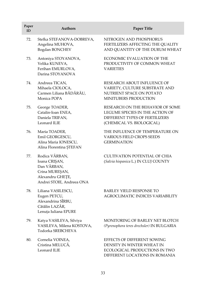| Paper<br>ID | <b>Authors</b>                                                                                                    | Paper Title                                                                                                                        |
|-------------|-------------------------------------------------------------------------------------------------------------------|------------------------------------------------------------------------------------------------------------------------------------|
| 72.         | Stefka STEFANOVA-DOBREVA,<br>Angelina MUHOVA,<br>Bogdan BONCHEV                                                   | NITROGEN AND PHOSPHORUS<br>FERTILIZERS AFFECTING THE QUALITY<br>AND QUANTITY OF THE DURUM WHEAT                                    |
| 73.         | Antoniya STOYANOVA,<br>Velika KUNEVA,<br>Ferihan EMURLOVA,<br>Darina STOYANOVA                                    | ECONOMIC EVALUATION OF THE<br>PRODUCTIVITY OF COMMON WHEAT<br><b>VARIETIES</b>                                                     |
| 74.         | Andreea TICAN,<br>Mihaela CIOLOCA,<br>Carmen Liliana BĂDĂRĂU,<br>Monica POPA                                      | RESEARCH ABOUT INFLUENCE OF<br>VARIETY, CULTURE SUBSTRATE AND<br>NUTRIENT SPACE ON POTATO<br>MINITUBERS PRODUCTION                 |
| 75.         | George TOADER,<br>Catalin-Ioan ENEA,<br>Daniela TRIFAN,<br>Leonard ILIE                                           | RESEARCH ON THE BEHAVIOR OF SOME<br>LEGUME SPECIES IN THE ACTION OF<br>DIFFERENT TYPES OF FERTILIZERS<br>(CHEMICAL VS. BIOLOGICAL) |
| 76.         | Maria TOADER,<br>Emil GEORGESCU,<br>Alina Maria IONESCU,<br>Alina Florentina ŞTEFAN                               | THE INFLUENCE OF TEMPERATURE ON<br><b>VARIOUS FIELD CROPS SEEDS</b><br><b>GERMINATION</b>                                          |
| 77.         | Rodica VÂRBAN,<br>Ioana CRIȘAN,<br>Dan VÂRBAN,<br>Crina MUREȘAN,<br>Alexandru GHETE,<br>Andrei STOIE, Andreea ONA | <b>CULTIVATION POTENTIAL OF CHIA</b><br>(Salvia hispanica L.) IN CLUJ COUNTY                                                       |
| 78.         | Liliana VASILESCU,<br>Eugen PETCU,<br>Alexandrina SÎRBU,<br>Cătălin LAZĂR,<br>Lenuța Iuliana EPURE                | <b>BARLEY YIELD RESPONSE TO</b><br>AGROCLIMATIC INDICES VARIABILITY                                                                |
| 79.         | Katya VASILEVA, Silviya<br>VASILEVA, Milena KOSTOVA,<br>Todorka SREBCHEVA                                         | MONITORING OF BARLEY NET BLOTCH<br>(Pyrenophora teres drechsler) IN BULGARIA                                                       |
| 80.         | Cornelia VOINEA,<br>Cristina MELUCĂ,<br>Leonard ILIE                                                              | EFFECTS OF DIFFERENT SOWING<br>DENSITY IN WINTER WHEAT IN<br>ECOLOGICAL PRODUCTIONS IN TWO<br>DIFFERENT LOCATIONS IN ROMANIA       |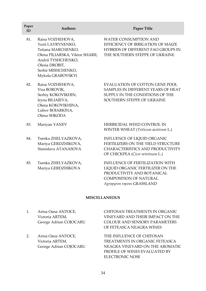| Paper<br>ID | <b>Authors</b>                                                                                                                                                                    | Paper Title                                                                                                                                                      |
|-------------|-----------------------------------------------------------------------------------------------------------------------------------------------------------------------------------|------------------------------------------------------------------------------------------------------------------------------------------------------------------|
| 81.         | Raisa VOZHEHOVA,<br>Yurii LAVRYNENKO,<br>Tetiana MARCHENKO,<br>Olena PILIARSKA, Viktor SHARII,<br>Andrii TYSHCHENKO,<br>Olesia DROBIT,<br>Serhii MISHCHENKO,<br>Mykola GRABOVSKYI | <b>WATER CONSUMPTION AND</b><br>EFFICIENCY OF IRRIGATION OF MAIZE<br><b>HYBRIDS OF DIFFERENT FAO GROUPS IN</b><br>THE SOUTHERN STEPPE OF UKRAINE                 |
| 82.         | Raisa VOZHEHOVA,<br>Vira BOROVIK,<br>Serhiy KOKOVIKHIN,<br>Iryna BILIAIEVA,<br>Olena KOKOVIKHINA,<br>Lubov BOIARKINA,<br>Olena SHKODA                                             | <b>EVALUATION OF COTTON GENE POOL</b><br>SAMPLES IN DIFFERENT YEARS OF HEAT<br>SUPPLY IN THE CONDITIONS OF THE<br>SOUTHERN STEPPE OF UKRAINE                     |
| 83.         | Mariyan YANEV                                                                                                                                                                     | HERBICIDAL WEED CONTROL IN<br>WINTER WHEAT (Triticum aestivum L.)                                                                                                |
| 84.         | Tsenka ZHELYAZKOVA,<br>Mariya GERDZHIKOVA,<br>Stanislava ATANASOVA                                                                                                                | INFLUENCE OF LIQUID ORGANIC<br>FERTILIZERS ON THE YIELD STRUCTURE<br>CHARACTERISTICS AND PRODUCTIVITY<br>OF CHICKPEA (Cicer arietinum L.)                        |
| 85.         | Tsenka ZHELYAZKOVA,<br>Mariya GERDZHIKOVA                                                                                                                                         | INFLUENCE OF FERTILIZATION WITH<br>LIQUID ORGANIC FERTILIZER ON THE<br>PRODUCTIVITY AND BOTANICAL<br><b>COMPOSITION OF NATURAL</b><br>Agropyron repens GRASSLAND |

## **MISCELLANEOUS**

| Arina Oana ANTOCE,     | CHITOSAN TREATMENTS IN ORGANIC       |
|------------------------|--------------------------------------|
| Victoria ARTEM,        | VINEYARD AND THEIR IMPACT ON THE     |
| George Adrian COJOCARU | <b>COLOUR AND SENSORY PARAMETERS</b> |
|                        | OF FETEASCA NEAGRA WINES             |
|                        |                                      |
| Arina Oana ANTOCE,     | THE INFLUENCE OF CHITOSAN            |
| Victoria ARTEM,        | TREATMENTS IN ORGANIC FETEASCA       |
| George Adrian COJOCARU | NEAGRA VINEYARD ON THE AROMATIC      |
|                        |                                      |

PROFILE OF WINES EVALUATED BY

ELECTRONIC NOSE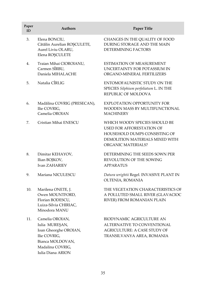| Paper<br>ID | <b>Authors</b>                                                                                                                          | <b>Paper Title</b>                                                                                                                                          |
|-------------|-----------------------------------------------------------------------------------------------------------------------------------------|-------------------------------------------------------------------------------------------------------------------------------------------------------------|
| 3.          | Elena BONCIU,<br>Cătălin Aurelian ROȘCULETE,<br>Aurel Liviu OLARU,<br>Elena ROȘCULETE                                                   | CHANGES IN THE QUALITY OF FOOD<br>DURING STORAGE AND THE MAIN<br>DETERMINING FACTORS                                                                        |
| 4.          | Traian Mihai CIOROIANU,<br>Carmen SÎRBU,<br>Daniela MIHALACHE                                                                           | ESTIMATION OF MEASUREMENT<br>UNCERTAINTY FOR POTASSIUM IN<br>ORGANO-MINERAL FERTILIZERS                                                                     |
| 5.          | Natalia CÎRLIG                                                                                                                          | ENTOMOFAUNISTIC STUDY ON THE<br>SPECIES Silphium perfoliatum L. IN THE<br>REPUBLIC OF MOLDOVA                                                               |
| 6.          | Madălina COVRIG (PRESECAN),<br>Ilie COVRIG,<br>Camelia OROIAN                                                                           | <b>EXPLOTATION OPPORTUNITY FOR</b><br>WOODEN MASS BY MULTIFUNCTIONAL<br>MACHINERY                                                                           |
| 7.          | Cristian Mihai ENESCU                                                                                                                   | WHICH WOODY SPECIES SHOULD BE<br><b>USED FOR AFFORESTATION OF</b><br>HOUSEHOLD DUMPS CONSISTING OF<br>DEMOLITION MATERIALS MIXED WITH<br>ORGANIC MATERIALS? |
| 8.          | Dimitar KEHAYOV,<br>Ilian BOJKOV,<br><b>Ivan ZAHARIEV</b>                                                                               | DETERMINING THE SEEDS SOWN PER<br>REVOLUTION OF THE SOWING<br><b>APPARATUS</b>                                                                              |
| 9.          | Mariana NICULESCU                                                                                                                       | Datura wrightii Regel. INVASIVE PLANT IN<br>OLTENIA, ROMANIA                                                                                                |
| 10.         | Marilena ONETE, J.<br>Owen MOUNTFORD,<br>Florian BODESCU,<br>Luiza-Silvia CHIRIAC,<br>Minodora MANU                                     | THE VEGETATION CHARACTERISTICS OF<br>A POLLUTED SMALL RIVER (GLAVACIOC<br>RIVER) FROM ROMANIAN PLAIN                                                        |
| 11.         | Camelia OROIAN,<br>Iulia MUREȘAN,<br>Ioan Gheorghe OROIAN,<br>Ilie COVRIG,<br>Bianca MOLDOVAN,<br>Madalina COVRIG,<br>Iulia Diana ARION | <b>BIODYNAMIC AGRICULTURE AN</b><br>ALTERNATIVE TO CONVENTIONAL<br><b>AGRICULTURE: A CASE STUDY OF</b><br>TRANSILVANYA AREA, ROMANIA                        |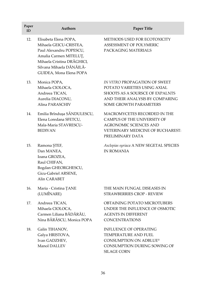| Paper<br>ID | <b>Authors</b>                                                                                                                                                                            | <b>Paper Title</b>                                                                                                                                            |
|-------------|-------------------------------------------------------------------------------------------------------------------------------------------------------------------------------------------|---------------------------------------------------------------------------------------------------------------------------------------------------------------|
| 12.         | Elisabeta Elena POPA,<br>Mihaela GEICU-CRISTEA,<br>Paul Alexandru POPESCU,<br>Amalia Carmen MITELUȚ,<br>Mihaela Cristina DRĂGHICI,<br>Silvana Mihaela DĂNĂILĂ-<br>GUIDEA, Mona Elena POPA | METHODS USED FOR ECOTOXICITY<br>ASSESSMENT OF POLYMERIC<br>PACKAGING MATERIALS                                                                                |
| 13.         | Monica POPA,<br>Mihaela CIOLOCA,<br>Andreea TICAN,<br>Aurelia DIACONU,<br>Alina PARASCHIV                                                                                                 | IN VITRO PROPAGATION OF SWEET<br>POTATO VARIETIES USING AXIAL<br>SHOOTS AS A SOURSCE OF EXPALNTS<br>AND THEIR ANALYSIS BY COMPARING<br>SOME GROWTH PARAMETERS |
| 14.         | Emilia Brînduşa SĂNDULESCU,<br>Elena Loredana SFETCU,<br>Mala-Maria STAVRESCU-<br><b>BEDIVAN</b>                                                                                          | MACROMYCETES RECORDED IN THE<br>CAMPUS OF THE UNIVERSITY OF<br><b>AGRONOMIC SCIENCES AND</b><br>VETERINARY MEDICINE OF BUCHAREST:<br>PRELIMINARY DATA         |
| 15.         | Ramona ŞTEF,<br>Dan MANEA,<br>Ioana GROZEA,<br>Raul CHIFAN,<br>Bogdan GHEORGHESCU,<br>Gicu-Gabriel ARSENE,<br>Alin CARABET                                                                | Asclepias syriaca A NEW SEGETAL SPECIES<br><b>IN ROMANIA</b>                                                                                                  |
| 16.         | Maria - Cristina ȚANE<br>(LUMÎNARE)                                                                                                                                                       | THE MAIN FUNGAL DISEASES IN<br>STRAWBERRIES CROP - REVIEW                                                                                                     |
| 17.         | Andreea TICAN,<br>Mihaela CIOLOCA,<br>Carmen Liliana BĂDĂRĂU,<br>Nina BĂRĂSCU, Monica POPA                                                                                                | OBTAINING POTATO MICROTUBERS<br>UNDER THE INFLUENCE OF OSMOTIC<br>AGENTS IN DIFFERENT<br><b>CONCENTRATIONS</b>                                                |
| 18.         | Galin TIHANOV,<br>Galya HRISTOVA,<br>Ivan GADZHEV,<br>Manol DALLEV                                                                                                                        | <b>INFLUENCE OF OPERATING</b><br>TEMPERATURE AND FUEL<br><b>CONSUMPTION ON ADBLUE®</b><br>CONSUMPTION DURING SOWING OF<br><b>SILAGE CORN</b>                  |